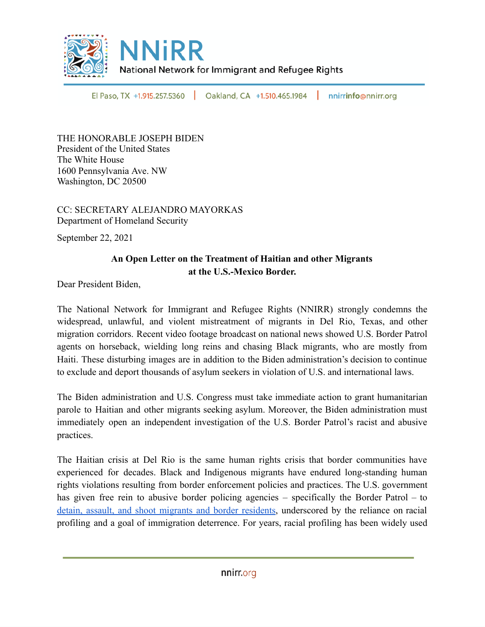

El Paso, TX +1.915.257.5360 Oakland, CA +1.510.465.1984 п. nnirrinfo@nnirr.org

THE HONORABLE JOSEPH BIDEN President of the United States The White House 1600 Pennsylvania Ave. NW Washington, DC 20500

CC: SECRETARY ALEJANDRO MAYORKAS Department of Homeland Security

September 22, 2021

## **An Open Letter on the Treatment of Haitian and other Migrants at the U.S.-Mexico Border.**

Dear President Biden,

The National Network for Immigrant and Refugee Rights (NNIRR) strongly condemns the widespread, unlawful, and violent mistreatment of migrants in Del Rio, Texas, and other migration corridors. Recent video footage broadcast on national news showed U.S. Border Patrol agents on horseback, wielding long reins and chasing Black migrants, who are mostly from Haiti. These disturbing images are in addition to the Biden administration's decision to continue to exclude and deport thousands of asylum seekers in violation of U.S. and international laws.

The Biden administration and U.S. Congress must take immediate action to grant humanitarian parole to Haitian and other migrants seeking asylum. Moreover, the Biden administration must immediately open an independent investigation of the U.S. Border Patrol's racist and abusive practices.

The Haitian crisis at Del Rio is the same human rights crisis that border communities have experienced for decades. Black and Indigenous migrants have endured long-standing human rights violations resulting from border enforcement policies and practices. The U.S. government has given free rein to abusive border policing agencies – specifically the Border Patrol – to detain, assault, and shoot migrants and border [residents](https://www.southernborder.org/deaths_by_border_patrol), underscored by the reliance on racial profiling and a goal of immigration deterrence. For years, racial profiling has been widely used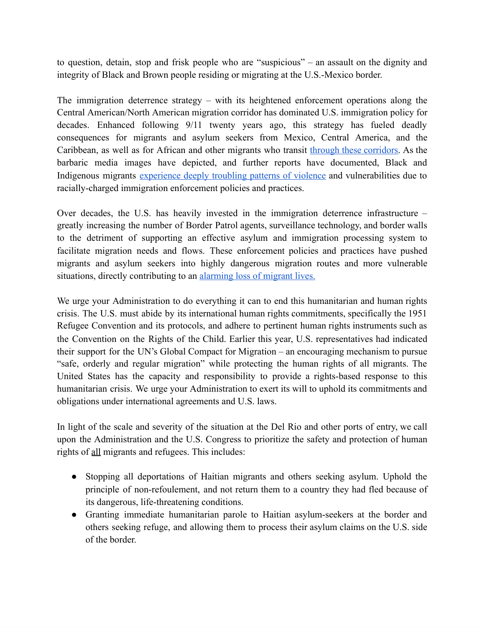to question, detain, stop and frisk people who are "suspicious" – an assault on the dignity and integrity of Black and Brown people residing or migrating at the U.S.-Mexico border.

The immigration deterrence strategy – with its heightened enforcement operations along the Central American/North American migration corridor has dominated U.S. immigration policy for decades. Enhanced following 9/11 twenty years ago, this strategy has fueled deadly consequences for migrants and asylum seekers from Mexico, Central America, and the Caribbean, as well as for African and other migrants who transit through these [corridors](https://imumi.org/attachments/2020/The-Impact-of-Anti-Black-Racism-on-African-Migrants-at-Mexico.pdf). As the barbaric media images have depicted, and further reports have documented, Black and Indigenous migrants [experience](https://www.americanimmigrationcouncil.org/research/legacy-racism-within-us-border-patrol) deeply troubling patterns of violence and vulnerabilities due to racially-charged immigration enforcement policies and practices.

Over decades, the U.S. has heavily invested in the immigration deterrence infrastructure – greatly increasing the number of Border Patrol agents, surveillance technology, and border walls to the detriment of supporting an effective asylum and immigration processing system to facilitate migration needs and flows. These enforcement policies and practices have pushed migrants and asylum seekers into highly dangerous migration routes and more vulnerable situations, directly contributing to an [alarming](https://missingmigrants.iom.int/region/americas) loss of migrant lives.

We urge your Administration to do everything it can to end this humanitarian and human rights crisis. The U.S. must abide by its international human rights commitments, specifically the 1951 Refugee Convention and its protocols, and adhere to pertinent human rights instruments such as the Convention on the Rights of the Child. Earlier this year, U.S. representatives had indicated their support for the UN's Global Compact for Migration – an encouraging mechanism to pursue "safe, orderly and regular migration" while protecting the human rights of all migrants. The United States has the capacity and responsibility to provide a rights-based response to this humanitarian crisis. We urge your Administration to exert its will to uphold its commitments and obligations under international agreements and U.S. laws.

In light of the scale and severity of the situation at the Del Rio and other ports of entry, we call upon the Administration and the U.S. Congress to prioritize the safety and protection of human rights of all migrants and refugees. This includes:

- Stopping all deportations of Haitian migrants and others seeking asylum. Uphold the principle of non-refoulement, and not return them to a country they had fled because of its dangerous, life-threatening conditions.
- Granting immediate humanitarian parole to Haitian asylum-seekers at the border and others seeking refuge, and allowing them to process their asylum claims on the U.S. side of the border.